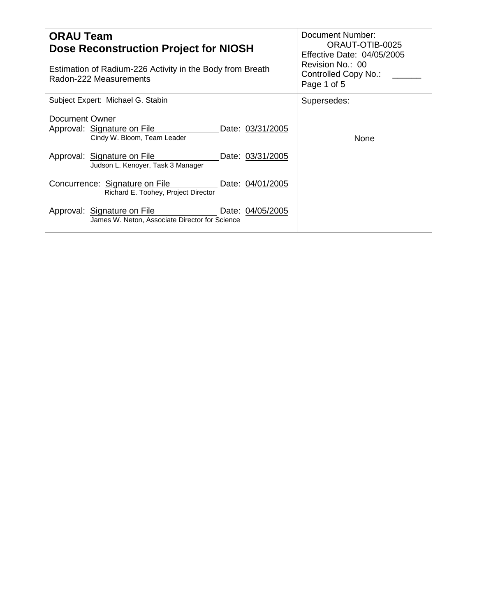| <b>ORAU Team</b><br>Dose Reconstruction Project for NIOSH                                         | Document Number:<br>ORAUT-OTIB-0025<br>Effective Date: 04/05/2005<br>Revision No.: 00 |  |
|---------------------------------------------------------------------------------------------------|---------------------------------------------------------------------------------------|--|
| Estimation of Radium-226 Activity in the Body from Breath<br>Radon-222 Measurements               | Controlled Copy No.:<br>Page 1 of 5                                                   |  |
| Subject Expert: Michael G. Stabin                                                                 | Supersedes:                                                                           |  |
| Document Owner<br>Approval: Signature on File<br>Date: 03/31/2005<br>Cindy W. Bloom, Team Leader  | None                                                                                  |  |
| Approval: Signature on File<br>Date: 03/31/2005<br>Judson L. Kenoyer, Task 3 Manager              |                                                                                       |  |
| Concurrence: Signature on File<br>Date: 04/01/2005<br>Richard E. Toohey, Project Director         |                                                                                       |  |
| Approval: Signature on File<br>Date: 04/05/2005<br>James W. Neton, Associate Director for Science |                                                                                       |  |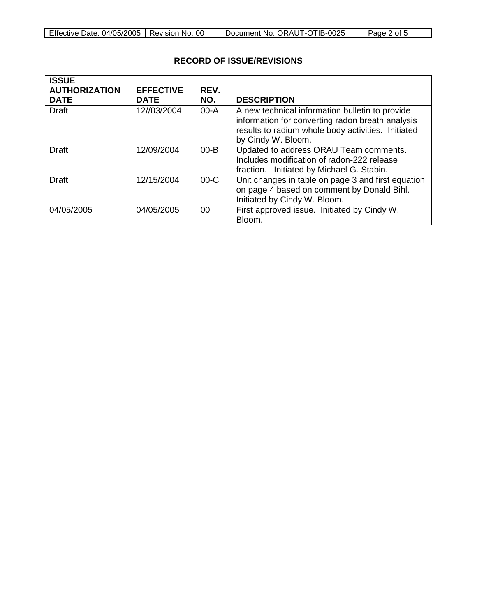| Effective Date: 04/05/2005   Revision No. 00 |  | Document No. ORAUT-OTIB-0025 | Page 2 of 5 |
|----------------------------------------------|--|------------------------------|-------------|
|----------------------------------------------|--|------------------------------|-------------|

| <b>ISSUE</b><br><b>AUTHORIZATION</b><br><b>DATE</b> | <b>EFFECTIVE</b><br><b>DATE</b> | REV.<br>NO. | <b>DESCRIPTION</b>                                                                                                                                                              |
|-----------------------------------------------------|---------------------------------|-------------|---------------------------------------------------------------------------------------------------------------------------------------------------------------------------------|
| <b>Draft</b>                                        | 12//03/2004                     | $00-A$      | A new technical information bulletin to provide<br>information for converting radon breath analysis<br>results to radium whole body activities. Initiated<br>by Cindy W. Bloom. |
| Draft                                               | 12/09/2004                      | $00 - B$    | Updated to address ORAU Team comments.<br>Includes modification of radon-222 release<br>fraction. Initiated by Michael G. Stabin.                                               |
| <b>Draft</b>                                        | 12/15/2004                      | $00-C$      | Unit changes in table on page 3 and first equation<br>on page 4 based on comment by Donald Bihl.<br>Initiated by Cindy W. Bloom.                                                |
| 04/05/2005                                          | 04/05/2005                      | 00          | First approved issue. Initiated by Cindy W.<br>Bloom.                                                                                                                           |

## **RECORD OF ISSUE/REVISIONS**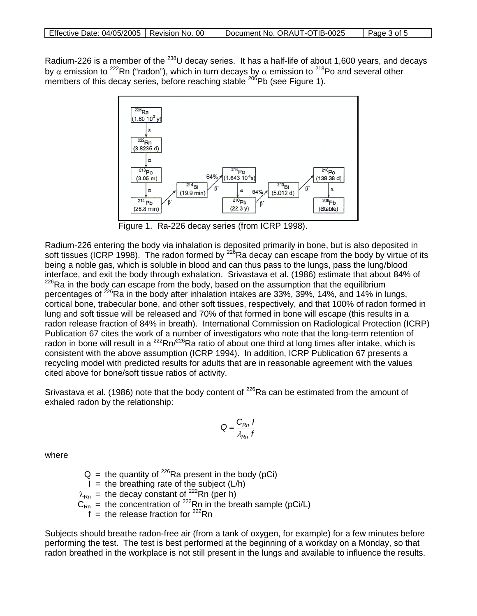Radium-226 is a member of the <sup>238</sup>U decay series. It has a half-life of about 1,600 years, and decays by  $\alpha$  emission to <sup>222</sup>Rn ("radon"), which in turn decays by  $\alpha$  emission to <sup>218</sup>Po and several other members of this decay series, before reaching stable <sup>206</sup>Pb (see Figure 1).



Figure 1. Ra-226 decay series (from ICRP 1998).

Radium-226 entering the body via inhalation is deposited primarily in bone, but is also deposited in soft tissues (ICRP 1998). The radon formed by  $^{226}$ Ra decay can escape from the body by virtue of its being a noble gas, which is soluble in blood and can thus pass to the lungs, pass the lung/blood interface, and exit the body through exhalation. Srivastava et al. (1986) estimate that about 84% of  $226$ Ra in the body can escape from the body, based on the assumption that the equilibrium percentages of  $^{226}$ Ra in the body after inhalation intakes are 33%, 39%, 14%, and 14% in lungs, cortical bone, trabecular bone, and other soft tissues, respectively, and that 100% of radon formed in lung and soft tissue will be released and 70% of that formed in bone will escape (this results in a radon release fraction of 84% in breath). International Commission on Radiological Protection (ICRP) Publication 67 cites the work of a number of investigators who note that the long-term retention of radon in bone will result in a  $^{222}$ Rn/ $^{226}$ Ra ratio of about one third at long times after intake, which is consistent with the above assumption (ICRP 1994). In addition, ICRP Publication 67 presents a recycling model with predicted results for adults that are in reasonable agreement with the values cited above for bone/soft tissue ratios of activity.

Srivastava et al. (1986) note that the body content of  $^{226}$ Ra can be estimated from the amount of exhaled radon by the relationship:

$$
Q = \frac{C_{Rn} I}{\lambda_{Rn} f}
$$

where

 $Q =$  the quantity of <sup>226</sup>Ra present in the body (pCi)

 $I =$  the breathing rate of the subject  $(L/h)$ 

 $\lambda_{\rm Rn}$  = the decay constant of <sup>222</sup>Rn (per h)

 $C_{\text{Rn}}$  = the concentration of <sup>222</sup>Rn in the breath sample (pCi/L)

 $f =$  the release fraction for  $222$ Rn

Subjects should breathe radon-free air (from a tank of oxygen, for example) for a few minutes before performing the test. The test is best performed at the beginning of a workday on a Monday, so that radon breathed in the workplace is not still present in the lungs and available to influence the results.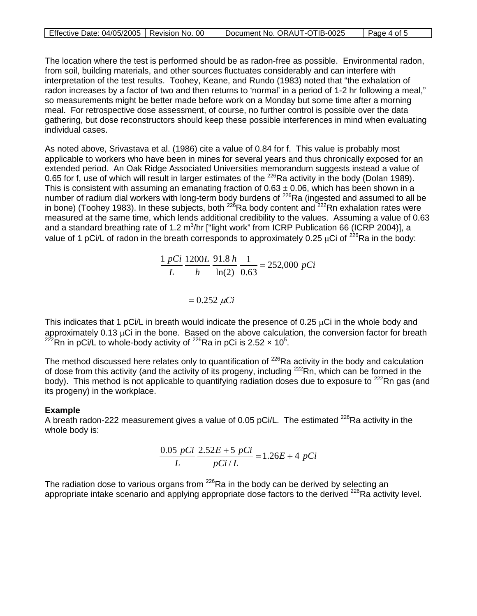| Effective Date: 04/05/2005   Revision No. 00 | Document No. ORAUT-OTIB-0025 | Page 4 of 5 |
|----------------------------------------------|------------------------------|-------------|

The location where the test is performed should be as radon-free as possible. Environmental radon, from soil, building materials, and other sources fluctuates considerably and can interfere with interpretation of the test results. Toohey, Keane, and Rundo (1983) noted that "the exhalation of radon increases by a factor of two and then returns to 'normal' in a period of 1-2 hr following a meal," so measurements might be better made before work on a Monday but some time after a morning meal. For retrospective dose assessment, of course, no further control is possible over the data gathering, but dose reconstructors should keep these possible interferences in mind when evaluating individual cases.

As noted above, Srivastava et al. (1986) cite a value of 0.84 for f. This value is probably most applicable to workers who have been in mines for several years and thus chronically exposed for an extended period. An Oak Ridge Associated Universities memorandum suggests instead a value of 0.65 for f, use of which will result in larger estimates of the <sup>226</sup>Ra activity in the body (Dolan 1989). This is consistent with assuming an emanating fraction of  $0.63 \pm 0.06$ , which has been shown in a number of radium dial workers with long-term body burdens of <sup>226</sup>Ra (ingested and assumed to all be in bone) (Toohey 1983). In these subjects, both  $^{226}$ Ra body content and  $^{222}$ Rn exhalation rates were measured at the same time, which lends additional credibility to the values. Assuming a value of 0.63 and a standard breathing rate of 1.2 m<sup>3</sup>/hr ["light work" from ICRP Publication 66 (ICRP 2004)], a value of 1 pCi/L of radon in the breath corresponds to approximately 0.25  $\mu$ Ci of <sup>226</sup>Ra in the body:

> $\frac{h}{c} \frac{1}{\epsilon_0} = 252,000 \ pCi$ *h L L*  $pCi$  1200*L* 91.8 h 1<br> $\frac{1}{2}$  = 252,000 0.63 1 ln(2)  $\frac{1 \text{ pCi}}{1} \frac{1200L}{1} \frac{91.8 \text{ h}}{1} \frac{1}{1} =$

> > $= 0.252 \mu Ci$

This indicates that 1 pCi/L in breath would indicate the presence of 0.25 µCi in the whole body and approximately 0.13 µCi in the bone. Based on the above calculation, the conversion factor for breath <sup>222</sup>Rn in pCi/L to whole-body activity of <sup>226</sup>Ra in pCi is 2.52  $\times$  10<sup>5</sup>.

The method discussed here relates only to quantification of <sup>226</sup>Ra activity in the body and calculation of dose from this activity (and the activity of its progeny, including <sup>222</sup>Rn, which can be formed in the body). This method is not applicable to quantifying radiation doses due to exposure to <sup>222</sup>Rn gas (and its progeny) in the workplace.

## **Example**

A breath radon-222 measurement gives a value of 0.05 pCi/L. The estimated  $^{226}$ Ra activity in the whole body is:

$$
\frac{0.05 \, pCi}{L} \, \frac{2.52E + 5 \, pCi}{pCi/L} = 1.26E + 4 \, pCi
$$

The radiation dose to various organs from  $226$ Ra in the body can be derived by selecting an appropriate intake scenario and applying appropriate dose factors to the derived <sup>226</sup>Ra activity level.